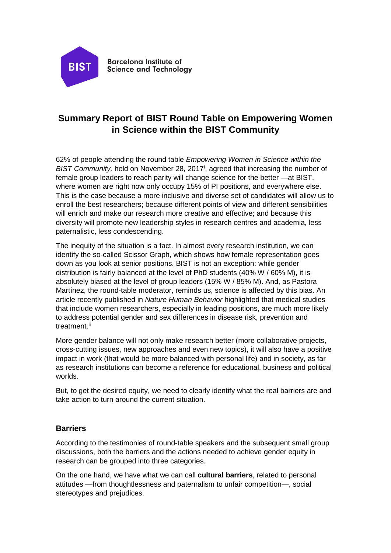

**Barcelona Institute of Science and Technology** 

# **Summary Report of BIST Round Table on Empowering Women in Science within the BIST Community**

62% of people attending the round table *Empowering Women in Science within the*  BIST Commun[i](#page-3-0)ty, held on November 28, 2017<sup>†</sup>, agreed that increasing the number of female group leaders to reach parity will change science for the better —at BIST, where women are right now only occupy 15% of PI positions, and everywhere else. This is the case because a more inclusive and diverse set of candidates will allow us to enroll the best researchers; because different points of view and different sensibilities will enrich and make our research more creative and effective; and because this diversity will promote new leadership styles in research centres and academia, less paternalistic, less condescending.

The inequity of the situation is a fact. In almost every research institution, we can identify the so-called Scissor Graph, which shows how female representation goes down as you look at senior positions. BIST is not an exception: while gender distribution is fairly balanced at the level of PhD students (40% W / 60% M), it is absolutely biased at the level of group leaders (15% W / 85% M). And, as Pastora Martínez, the round-table moderator, reminds us, science is affected by this bias. An article recently published in *Nature Human Behavior* highlighted that medical studies that include women researchers, especially in leading positions, are much more likely to address potential gender and sex differences in disease risk, prevention and treatment.<sup>[ii](#page-3-1)</sup>

More gender balance will not only make research better (more collaborative projects, cross-cutting issues, new approaches and even new topics), it will also have a positive impact in work (that would be more balanced with personal life) and in society, as far as research institutions can become a reference for educational, business and political worlds.

But, to get the desired equity, we need to clearly identify what the real barriers are and take action to turn around the current situation.

## **Barriers**

According to the testimonies of round-table speakers and the subsequent small group discussions, both the barriers and the actions needed to achieve gender equity in research can be grouped into three categories.

On the one hand, we have what we can call **cultural barriers**, related to personal attitudes —from thoughtlessness and paternalism to unfair competition—, social stereotypes and prejudices.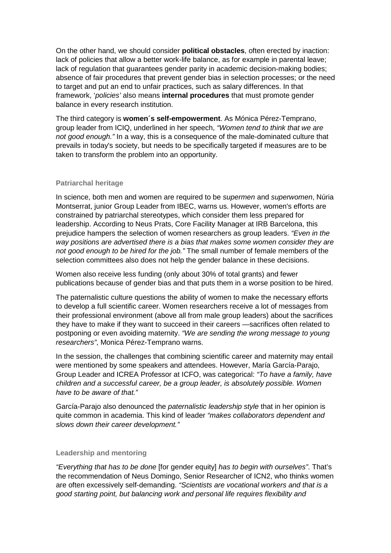On the other hand, we should consider **political obstacles**, often erected by inaction: lack of policies that allow a better work-life balance, as for example in parental leave; lack of regulation that guarantees gender parity in academic decision-making bodies; absence of fair procedures that prevent gender bias in selection processes; or the need to target and put an end to unfair practices, such as salary differences. In that framework, '*policies'* also means **internal procedures** that must promote gender balance in every research institution.

The third category is **women´s self-empowerment**. As Mónica Pérez-Temprano, group leader from ICIQ, underlined in her speech, *"Women tend to think that we are not good enough."* In a way, this is a consequence of the male-dominated culture that prevails in today's society, but needs to be specifically targeted if measures are to be taken to transform the problem into an opportunity.

### **Patriarchal heritage**

In science, both men and women are required to be *supermen* and *superwomen*, Núria Montserrat, junior Group Leader from IBEC, warns us. However, women's efforts are constrained by patriarchal stereotypes, which consider them less prepared for leadership. According to Neus Prats, Core Facility Manager at IRB Barcelona, this prejudice hampers the selection of women researchers as group leaders. *"Even in the way positions are advertised there is a bias that makes some women consider they are not good enough to be hired for the job."* The small number of female members of the selection committees also does not help the gender balance in these decisions.

Women also receive less funding (only about 30% of total grants) and fewer publications because of gender bias and that puts them in a worse position to be hired.

The paternalistic culture questions the ability of women to make the necessary efforts to develop a full scientific career. Women researchers receive a lot of messages from their professional environment (above all from male group leaders) about the sacrifices they have to make if they want to succeed in their careers —sacrifices often related to postponing or even avoiding maternity. *"We are sending the wrong message to young researchers"*, Monica Pérez-Temprano warns.

In the session, the challenges that combining scientific career and maternity may entail were mentioned by some speakers and attendees. However, María García-Parajo, Group Leader and ICREA Professor at ICFO, was categorical: *"To have a family, have children and a successful career, be a group leader, is absolutely possible. Women have to be aware of that."*

García-Parajo also denounced the *paternalistic leadership style* that in her opinion is quite common in academia. This kind of leader *"makes collaborators dependent and slows down their career development."*

#### **Leadership and mentoring**

*"Everything that has to be done* [for gender equity] *has to begin with ourselves"*. That's the recommendation of Neus Domingo, Senior Researcher of ICN2, who thinks women are often excessively self-demanding. *"Scientists are vocational workers and that is a good starting point, but balancing work and personal life requires flexibility and*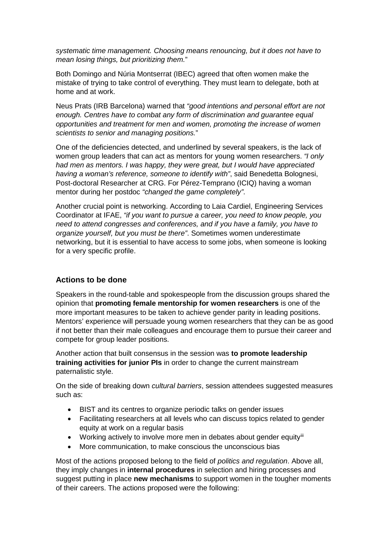*systematic time management. Choosing means renouncing, but it does not have to mean losing things, but prioritizing them.*"

Both Domingo and Núria Montserrat (IBEC) agreed that often women make the mistake of trying to take control of everything. They must learn to delegate, both at home and at work.

Neus Prats (IRB Barcelona) warned that *"good intentions and personal effort are not enough. Centres have to combat any form of discrimination and guarantee equal opportunities and treatment for men and women, promoting the increase of women scientists to senior and managing positions.*"

One of the deficiencies detected, and underlined by several speakers, is the lack of women group leaders that can act as mentors for young women researchers. *"I only had men as mentors. I was happy, they were great, but I would have appreciated having a woman's reference, someone to identify with"*, said Benedetta Bolognesi, Post-doctoral Researcher at CRG. For Pérez-Temprano (ICIQ) having a woman mentor during her postdoc *"changed the game completely"*.

Another crucial point is networking. According to Laia Cardiel, Engineering Services Coordinator at IFAE, *"if you want to pursue a career, you need to know people, you need to attend congresses and conferences, and if you have a family, you have to organize yourself, but you must be there"*. Sometimes women underestimate networking, but it is essential to have access to some jobs, when someone is looking for a very specific profile.

## **Actions to be done**

Speakers in the round-table and spokespeople from the discussion groups shared the opinion that **promoting female mentorship for women researchers** is one of the more important measures to be taken to achieve gender parity in leading positions. Mentors' experience will persuade young women researchers that they can be as good if not better than their male colleagues and encourage them to pursue their career and compete for group leader positions.

Another action that built consensus in the session was **to promote leadership training activities for junior PIs** in order to change the current mainstream paternalistic style.

On the side of breaking down *cultural barriers*, session attendees suggested measures such as:

- BIST and its centres to organize periodic talks on gender issues
- Facilitating researchers at all levels who can discuss topics related to gender equity at work on a regular basis
- Working actively to involve more men in debates about gender equity<sup>[iii](#page-3-2)</sup>
- More communication, to make conscious the unconscious bias

Most of the actions proposed belong to the field of *politics and regulation*. Above all, they imply changes in **internal procedures** in selection and hiring processes and suggest putting in place **new mechanisms** to support women in the tougher moments of their careers. The actions proposed were the following: